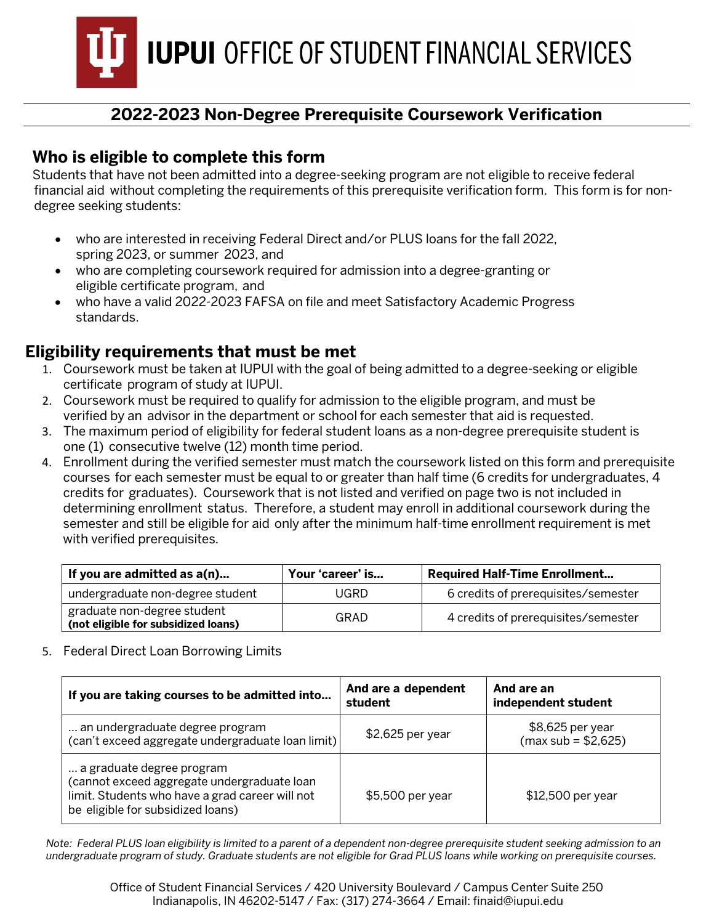**IUPUI** OFFICE OF STUDENT FINANCIAL SERVICES

# **2022-2023 Non-Degree Prerequisite Coursework Verification**

### **Who is eligible to complete this form**

Students that have not been admitted into a degree-seeking program are not eligible to receive federal financial aid without completing the requirements of this prerequisite verification form. This form is for nondegree seeking students:

- who are interested in receiving Federal Direct and/or PLUS loans for the fall 2022, spring 2023, or summer 2023, and
- who are completing coursework required for admission into a degree-granting or eligible certificate program, and
- who have a valid 2022-2023 FAFSA on file and meet Satisfactory Academic Progress standards.

## **Eligibility requirements that must be met**

- 1. Coursework must be taken at IUPUI with the goal of being admitted to a degree-seeking or eligible certificate program of study at IUPUI.
- 2. Coursework must be required to qualify for admission to the eligible program, and must be verified by an advisor in the department or school for each semester that aid is requested.
- 3. The maximum period of eligibility for federal student loans as a non-degree prerequisite student is one (1) consecutive twelve (12) month time period.
- 4. Enrollment during the verified semester must match the coursework listed on this form and prerequisite courses for each semester must be equal to or greater than half time (6 credits for undergraduates, 4 credits for graduates). Coursework that is not listed and verified on page two is not included in determining enrollment status. Therefore, a student may enroll in additional coursework during the semester and still be eligible for aid only after the minimum half-time enrollment requirement is met with verified prerequisites.

| If you are admitted as a(n)                                        | Your 'career' is | <b>Required Half-Time Enrollment</b> |
|--------------------------------------------------------------------|------------------|--------------------------------------|
| undergraduate non-degree student                                   | <b>JGRD</b>      | 6 credits of prerequisites/semester  |
| graduate non-degree student<br>(not eligible for subsidized loans) | GRAD             | 4 credits of prerequisites/semester  |

5. Federal Direct Loan Borrowing Limits

| If you are taking courses to be admitted into                                                                                                                    | And are a dependent<br>student | And are an<br>independent student        |
|------------------------------------------------------------------------------------------------------------------------------------------------------------------|--------------------------------|------------------------------------------|
| an undergraduate degree program<br>(can't exceed aggregate undergraduate loan limit)                                                                             | $$2,625$ per year              | \$8,625 per year<br>$(max sub = $2,625)$ |
| a graduate degree program<br>(cannot exceed aggregate undergraduate loan<br>limit. Students who have a grad career will not<br>be eligible for subsidized loans) | \$5,500 per year               | \$12,500 per year                        |

*Note: Federal PLUS loan eligibility is limited to a parent of a dependent non-degree prerequisite student seeking admission to an undergraduate program of study. Graduate students are not eligible for Grad PLUS loans while working on prerequisite courses.*